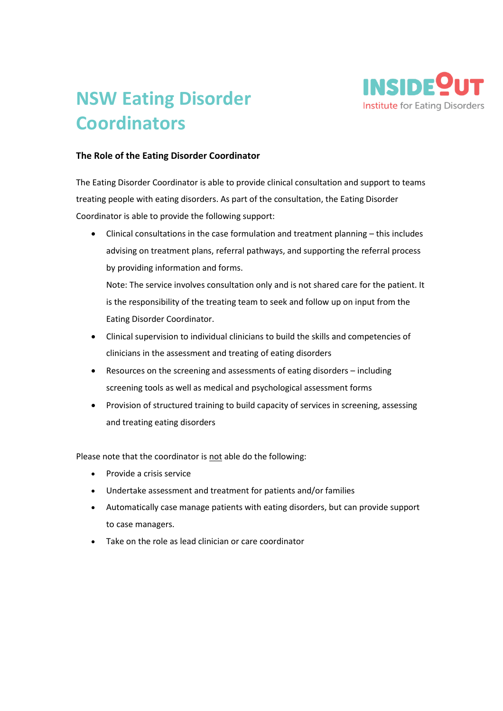

## **NSW Eating Disorder Coordinators**

## **The Role of the Eating Disorder Coordinator**

The Eating Disorder Coordinator is able to provide clinical consultation and support to teams treating people with eating disorders. As part of the consultation, the Eating Disorder Coordinator is able to provide the following support:

• Clinical consultations in the case formulation and treatment planning – this includes advising on treatment plans, referral pathways, and supporting the referral process by providing information and forms.

Note: The service involves consultation only and is not shared care for the patient. It is the responsibility of the treating team to seek and follow up on input from the Eating Disorder Coordinator.

- Clinical supervision to individual clinicians to build the skills and competencies of clinicians in the assessment and treating of eating disorders
- Resources on the screening and assessments of eating disorders including screening tools as well as medical and psychological assessment forms
- Provision of structured training to build capacity of services in screening, assessing and treating eating disorders

Please note that the coordinator is not able do the following:

- Provide a crisis service
- Undertake assessment and treatment for patients and/or families
- Automatically case manage patients with eating disorders, but can provide support to case managers.
- Take on the role as lead clinician or care coordinator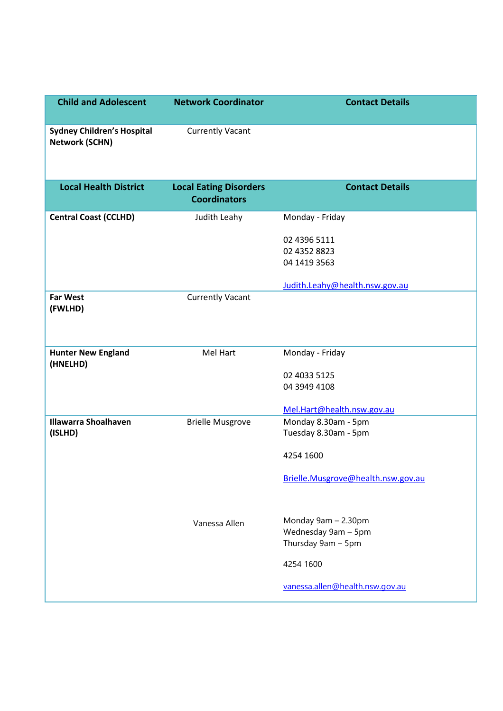| <b>Child and Adolescent</b>                                | <b>Network Coordinator</b>                           | <b>Contact Details</b>                                           |
|------------------------------------------------------------|------------------------------------------------------|------------------------------------------------------------------|
| <b>Sydney Children's Hospital</b><br><b>Network (SCHN)</b> | <b>Currently Vacant</b>                              |                                                                  |
| <b>Local Health District</b>                               | <b>Local Eating Disorders</b><br><b>Coordinators</b> | <b>Contact Details</b>                                           |
| <b>Central Coast (CCLHD)</b>                               | Judith Leahy                                         | Monday - Friday                                                  |
|                                                            |                                                      | 02 4396 5111<br>02 4352 8823<br>04 1419 3563                     |
|                                                            |                                                      | Judith.Leahy@health.nsw.gov.au                                   |
| <b>Far West</b><br>(FWLHD)                                 | <b>Currently Vacant</b>                              |                                                                  |
| <b>Hunter New England</b><br>(HNELHD)                      | Mel Hart                                             | Monday - Friday                                                  |
|                                                            |                                                      | 02 4033 5125<br>04 3949 4108                                     |
|                                                            |                                                      | Mel.Hart@health.nsw.gov.au                                       |
| <b>Illawarra Shoalhaven</b><br>(ISLHD)                     | <b>Brielle Musgrove</b>                              | Monday 8.30am - 5pm<br>Tuesday 8.30am - 5pm                      |
|                                                            |                                                      | 4254 1600                                                        |
|                                                            |                                                      | Brielle.Musgrove@health.nsw.gov.au                               |
|                                                            | Vanessa Allen                                        | Monday 9am - 2.30pm<br>Wednesday 9am - 5pm<br>Thursday 9am - 5pm |
|                                                            |                                                      | 4254 1600                                                        |
|                                                            |                                                      | vanessa.allen@health.nsw.gov.au                                  |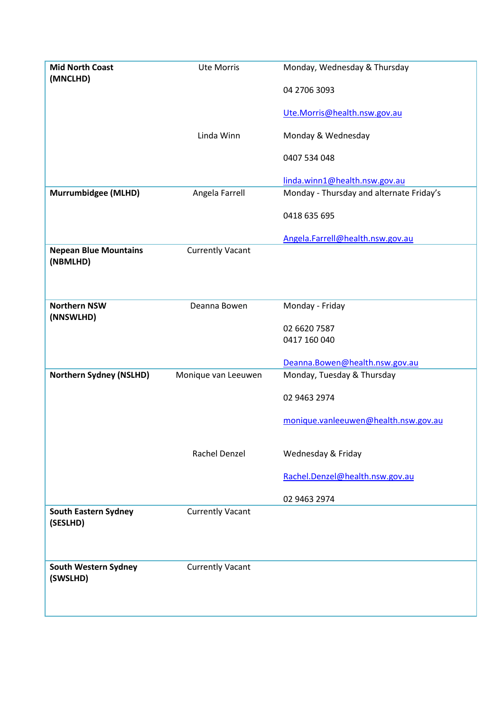| <b>Mid North Coast</b><br>(MNCLHD)       | <b>Ute Morris</b>       | Monday, Wednesday & Thursday             |
|------------------------------------------|-------------------------|------------------------------------------|
|                                          |                         | 04 2706 3093                             |
|                                          |                         | Ute.Morris@health.nsw.gov.au             |
|                                          | Linda Winn              | Monday & Wednesday                       |
|                                          |                         | 0407 534 048                             |
|                                          |                         |                                          |
|                                          |                         | linda.winn1@health.nsw.gov.au            |
| Murrumbidgee (MLHD)                      | Angela Farrell          | Monday - Thursday and alternate Friday's |
|                                          |                         | 0418 635 695                             |
|                                          |                         | Angela.Farrell@health.nsw.gov.au         |
| <b>Nepean Blue Mountains</b><br>(NBMLHD) | <b>Currently Vacant</b> |                                          |
|                                          |                         |                                          |
|                                          |                         |                                          |
| <b>Northern NSW</b><br>(NNSWLHD)         | Deanna Bowen            | Monday - Friday                          |
|                                          |                         | 02 6620 7587                             |
|                                          |                         | 0417 160 040                             |
|                                          |                         | Deanna.Bowen@health.nsw.gov.au           |
| <b>Northern Sydney (NSLHD)</b>           | Monique van Leeuwen     | Monday, Tuesday & Thursday               |
|                                          |                         | 02 9463 2974                             |
|                                          |                         | monique.vanleeuwen@health.nsw.gov.au     |
|                                          |                         |                                          |
|                                          | Rachel Denzel           | Wednesday & Friday                       |
|                                          |                         | Rachel.Denzel@health.nsw.gov.au          |
|                                          |                         | 02 9463 2974                             |
| <b>South Eastern Sydney</b><br>(SESLHD)  | <b>Currently Vacant</b> |                                          |
|                                          |                         |                                          |
| South Western Sydney                     | <b>Currently Vacant</b> |                                          |
| (SWSLHD)                                 |                         |                                          |
|                                          |                         |                                          |
|                                          |                         |                                          |